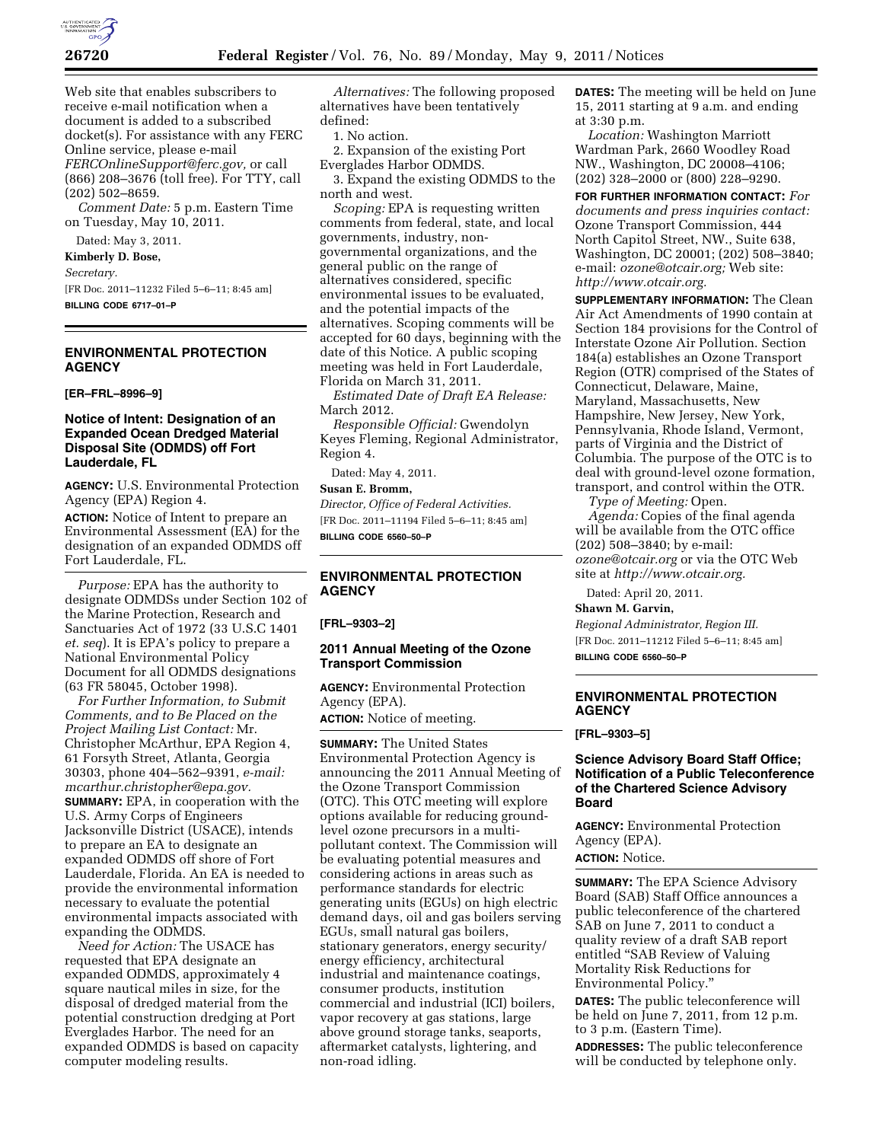

Web site that enables subscribers to receive e-mail notification when a document is added to a subscribed docket(s). For assistance with any FERC Online service, please e-mail *[FERCOnlineSupport@ferc.gov,](mailto:FERCOnlineSupport@ferc.gov)* or call (866) 208–3676 (toll free). For TTY, call (202) 502–8659.

*Comment Date:* 5 p.m. Eastern Time on Tuesday, May 10, 2011.

Dated: May 3, 2011. **Kimberly D. Bose,**  *Secretary.* 

[FR Doc. 2011–11232 Filed 5–6–11; 8:45 am] **BILLING CODE 6717–01–P** 

## **ENVIRONMENTAL PROTECTION AGENCY**

**[ER–FRL–8996–9]** 

### **Notice of Intent: Designation of an Expanded Ocean Dredged Material Disposal Site (ODMDS) off Fort Lauderdale, FL**

**AGENCY:** U.S. Environmental Protection Agency (EPA) Region 4.

**ACTION:** Notice of Intent to prepare an Environmental Assessment (EA) for the designation of an expanded ODMDS off Fort Lauderdale, FL.

*Purpose:* EPA has the authority to designate ODMDSs under Section 102 of the Marine Protection, Research and Sanctuaries Act of 1972 (33 U.S.C 1401 *et. seq*). It is EPA's policy to prepare a National Environmental Policy Document for all ODMDS designations (63 FR 58045, October 1998).

*For Further Information, to Submit Comments, and to Be Placed on the Project Mailing List Contact:* Mr. Christopher McArthur, EPA Region 4, 61 Forsyth Street, Atlanta, Georgia 30303, phone 404–562–9391, *e-mail: [mcarthur.christopher@epa.gov.](mailto:mcarthur.christopher@epa.gov)*  **SUMMARY:** EPA, in cooperation with the U.S. Army Corps of Engineers Jacksonville District (USACE), intends to prepare an EA to designate an expanded ODMDS off shore of Fort Lauderdale, Florida. An EA is needed to provide the environmental information necessary to evaluate the potential environmental impacts associated with expanding the ODMDS.

*Need for Action:* The USACE has requested that EPA designate an expanded ODMDS, approximately 4 square nautical miles in size, for the disposal of dredged material from the potential construction dredging at Port Everglades Harbor. The need for an expanded ODMDS is based on capacity computer modeling results.

*Alternatives:* The following proposed alternatives have been tentatively defined:

1. No action.

2. Expansion of the existing Port Everglades Harbor ODMDS.

3. Expand the existing ODMDS to the north and west.

*Scoping:* EPA is requesting written comments from federal, state, and local governments, industry, nongovernmental organizations, and the general public on the range of alternatives considered, specific environmental issues to be evaluated, and the potential impacts of the alternatives. Scoping comments will be accepted for 60 days, beginning with the date of this Notice. A public scoping meeting was held in Fort Lauderdale, Florida on March 31, 2011.

*Estimated Date of Draft EA Release:*  March 2012.

*Responsible Official:* Gwendolyn Keyes Fleming, Regional Administrator, Region 4.

Dated: May 4, 2011.

### **Susan E. Bromm,**

*Director, Office of Federal Activities.*  [FR Doc. 2011–11194 Filed 5–6–11; 8:45 am] **BILLING CODE 6560–50–P** 

# **ENVIRONMENTAL PROTECTION AGENCY**

**[FRL–9303–2]** 

### **2011 Annual Meeting of the Ozone Transport Commission**

**AGENCY:** Environmental Protection Agency (EPA).

**ACTION:** Notice of meeting.

**SUMMARY:** The United States Environmental Protection Agency is announcing the 2011 Annual Meeting of the Ozone Transport Commission (OTC). This OTC meeting will explore options available for reducing groundlevel ozone precursors in a multipollutant context. The Commission will be evaluating potential measures and considering actions in areas such as performance standards for electric generating units (EGUs) on high electric demand days, oil and gas boilers serving EGUs, small natural gas boilers, stationary generators, energy security/ energy efficiency, architectural industrial and maintenance coatings, consumer products, institution commercial and industrial (ICI) boilers, vapor recovery at gas stations, large above ground storage tanks, seaports, aftermarket catalysts, lightering, and non-road idling.

**DATES:** The meeting will be held on June 15, 2011 starting at 9 a.m. and ending at 3:30 p.m.

*Location:* Washington Marriott Wardman Park, 2660 Woodley Road NW., Washington, DC 20008–4106; (202) 328–2000 or (800) 228–9290.

**FOR FURTHER INFORMATION CONTACT:** *For documents and press inquiries contact:*  Ozone Transport Commission, 444 North Capitol Street, NW., Suite 638, Washington, DC 20001; (202) 508–3840; e-mail: *[ozone@otcair.org;](mailto:ozone@otcair.org)* Web site: *[http://www.otcair.org.](http://www.otcair.org)* 

**SUPPLEMENTARY INFORMATION:** The Clean Air Act Amendments of 1990 contain at Section 184 provisions for the Control of Interstate Ozone Air Pollution. Section 184(a) establishes an Ozone Transport Region (OTR) comprised of the States of Connecticut, Delaware, Maine, Maryland, Massachusetts, New Hampshire, New Jersey, New York, Pennsylvania, Rhode Island, Vermont, parts of Virginia and the District of Columbia. The purpose of the OTC is to deal with ground-level ozone formation, transport, and control within the OTR.

*Type of Meeting:* Open. *Agenda:* Copies of the final agenda will be available from the OTC office (202) 508–3840; by e-mail: *[ozone@otcair.org](mailto:ozone@otcair.org)* or via the OTC Web site at *[http://www.otcair.org.](http://www.otcair.org)* 

Dated: April 20, 2011.

**Shawn M. Garvin,** 

*Regional Administrator, Region III.*  [FR Doc. 2011–11212 Filed 5–6–11; 8:45 am] **BILLING CODE 6560–50–P** 

# **ENVIRONMENTAL PROTECTION AGENCY**

**[FRL–9303–5]** 

### **Science Advisory Board Staff Office; Notification of a Public Teleconference of the Chartered Science Advisory Board**

**AGENCY:** Environmental Protection Agency (EPA).

**ACTION:** Notice.

**SUMMARY:** The EPA Science Advisory Board (SAB) Staff Office announces a public teleconference of the chartered SAB on June 7, 2011 to conduct a quality review of a draft SAB report entitled ''SAB Review of Valuing Mortality Risk Reductions for Environmental Policy.''

**DATES:** The public teleconference will be held on June 7, 2011, from 12 p.m. to 3 p.m. (Eastern Time).

**ADDRESSES:** The public teleconference will be conducted by telephone only.